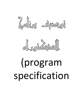



# (program specification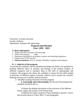University: Al azhar university Faculty: medicine Department: Anatomy and embryology

## **Program Specification Year: 2020 /2021**

#### **A- Basic information:**

- 1. Program title:MD in Anatomy and embryology
- 2. Nature of the program: single
- 3. Department responsible for the program: anatomy and embryology department
- 4. Program code: 07-007-anat-Doc
- 5. **External evaluators:** Prof. Dr. Saadia Shalaby, Professor of the Anatomy ,

## **B- :1- objective of the program**:

To provide the candidate with the detailed knowledge and skills to be qualified for teaching different topics of anatomy and biology to the medical students of different categories and to introduce them to the field of anthropology and evolution. The program also allows the candidate to master the fine skills needed in dissection of different regions of human cadavers and to acquire the scientific thinking necessary for scientific medical research.

2- Intended Learning Outcomes from the program:

**A. Knowledge and Understanding**: By the end of the program the candidate should be able to:

1) Master the detailed description of the structures of the different tissues, organs and systems of the human body.

2) Identify the surface anatomy of bony landmarks, muscles, viscera and correlate them to X-Ray, MR, CT and sonography.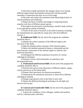3) Describe in depth and details the changes which occur during different stages human development and growth with the possible anomalies or aberration that may occur at each stage.

4) Describe and explain the anatomical and embryological basis of clinical problems and syndromes.

5) Master the basic scientific knowledge in comparing human anatomy with that of different animal species.

6) Recognize the principals of performing a research study and how to use appropriate statistical methods.

7) Aware of the areas of research in the field of anatomy including the experimental one especially by using stem cells from different sources. 2

**B. Intellectual Skills**: By the end of the program the candidate should be able to:

1) Identify the surface anatomy of the different regions and structures of the limbs.

2) Map the detailed surface anatomy of the internal organs.

3) Detect the detailed anatomical features, relationship and the neurovascular connections of the internal organs in cadavers and preserved specimens.

4) Distinguish the different anatomical structures on various radiological techniques.

5) Interpret various clinical disorders on anatomical and developmental basis.

**C. Professional and Practical Skills**: By the end of the program the candidate should be able to:

1) Perform fine and accurate dissection of different regions, organs, vessels and nerves of the human body.

2) Prepare ideal specimens for museum presentation.

3) Demonstrate the anatomical structures as observed by different radiological methods.

4) Design experimental work in the field of stem cells.

5) Master the different histological techniques for the light and electron microscopy.

**D. General and Transferable Skills**: By the end of the program the candidate should be able to:

1. Acquire the confidence of the colleague, student and auxiliary staff by communication with them.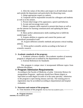2. Afire the values of the ethics and respect to all individuals inside and outside the department and particularly the dissecting room.

3. Adopt appropriate respect to cadaver.

4. Cooperate and be responsible towards his colleagues and students as well as to his seniors.

5. Present ideal image of his appearance, speech and behavior.

6. Accept and encourage team work.

7. Master computer skills required to present data bases as well as use the internet for learning communication and updating the latest knowledge.

8. Show perfect administrative skills enabling him to fulfill the needed paper work.

9. Acquire abilities to organize and control the juniors and subordinate paramedical staff.

10. Acquire different scientific methods and possess critical reading abilities.

11. Write perfect scientific articles according to the basis of scientific research.

#### **3- Academic standards of the program:**

1. Academic reference standers: The academic standers of anatomy program is adopted and accredited by the departmental council

2. External References for Standards:

This program is unique since it incorporated different topics from different disciplines.

## 4- **Program Admission Requirements**

According to the Faculty of Medicine, al azhar University Bylaws for postgraduate Programs , applicants should have Master degree or equivalent accredit degree accredit of in the same specialty. Admission to the program is open during January and July. The training prior to registration may be accredited according to departmental and hospital evaluation

#### **5- Structure and content of the program:**

----------------------------------

A- Time duration of the program: Not less than two academic years. --------------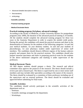- **Advanced detailed descriptive anatomy**
- Neuroanatomy
- **EXECUTE:**
- **Scientific activities:**
- **Practical training program**

#### **Medical Doctorate thesis**

#### **Practical training program (3rd phase, advanced training):**

According to the faculty of Medicine, al azhar University Bylaws for postgraduate programs (July 2009), the duration of the advanced practical training is 24 months. All the students should complete the advanced training program for these two years in the Anatomy Department in order to acquire the needed credit points. During this period, the candidates will attend the practical sessions and share in the demonstration of Anatomy for the students of the following categories: 1st and 2nd year medical students, 1st year dentistry student, 1st and 2nd year students of physiotherapy, 1st year pharmacy student under supervision of senior staff members. The candidates should dissects different regions of the human cadavers properly and prepare them for the practical sessions. The candidates should also prepare museum specimens and share in preparing practical exam for the students of the above mentioned categories and marking it under supervision of the professors.

#### **Medical Doctorate Thesis:**

All MD degree students should prepare a thesis. The research and ethical committee must approve the protocol of the research. The thesis should include a review part and a research part. The thesis is supervised by one or more senior staff members and may include other specialties according to the nature of the research. The thesis should be evaluated by a committee of three professors including one of the supervisors and an external professor. The thesis should be evaluated and approved before submitting for final exam.

#### **Scientific Activities:**

The candidates should actively participate in the scientific activities of the department such as:

- $\Box$  Seminars.
- $\Box$  Scientific meetings arranged by the department.
- □ Workshops.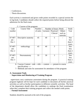$\Box$  Conferences.

 $\Box$  Thesis discussions.

Each activity is monitored and given credit points recorded in a special section the in log book. Candidates should collect the required points before being allowed the admission for the final exam.

| Code      | <b>Course Title</b> | Number   | Number of hours /Week |            | Study         |            |
|-----------|---------------------|----------|-----------------------|------------|---------------|------------|
| number    |                     | of units | Lectures              | Practical/ | <b>Others</b> | Year       |
|           |                     |          |                       | Clinical   | such as       |            |
|           |                     |          |                       |            | tutorials     |            |
| $07-007-$ | Descriptive anatomy | 45       | 40                    | 5          |               | <b>Not</b> |
| $ant -$   |                     |          |                       |            |               | less       |
| Doc 1     |                     |          |                       |            |               | than 2     |
|           |                     |          |                       |            |               | years      |
| $07-007-$ | embryology          | 43       | 40                    | 3          |               | <b>Not</b> |
| ant-      |                     |          |                       |            |               | less       |
| Doc 2     |                     |          |                       |            |               | than 2     |
|           |                     |          |                       |            |               | years      |
| $07-007-$ | Neuroanatomy        | 33       | 30                    | 3          |               | <b>Not</b> |
| ant-      |                     |          |                       |            |               | less       |
| Doc 3     |                     |          |                       |            |               | than 2     |
|           |                     |          |                       |            |               | years      |

C- Courses of the program:

6- Courses Content: code ---title --- content ----- present in course specifications ----

7- Methods and rules for assessment for attendance of the program:

## **A: Assessment Tools Supervision and Monitoring of Training Program**

 supervisors carry continuous assessment during the program. A practical training program logbook will be kept for each candidate to document all his/her practical activities as well as his/her participation in different scientific activities. The head of the department should allow the candidates to undergo the final examination when they complete their training program and collect the needed credit points.

**Formal Assessment** 

Students should be assessed at the end of the program**.**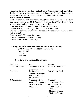- **courses:** Descriptive Anatomy and Advanced Neuroanatomy and embryology: distributed in three written exam papers, three hours each (including long and short assays as well as multiple choice questions) + practical and oral exams.

## **B: Assessment Schedule:**

Written examination will be held in 3 days (Three hours each) include short and long assay questions, and MCQ (include problem solving). This will be followed by the practical and oral examinations in separate days.

The written exam will be held in April / November (four days)

Day one: Descriptive Anatomy (paper 1, 3 hours written exam)

Day two: Descriptive Anatomyand Advanced Neuroanatomy ( paper2, 3 hours written exam )

Day three MCQ: ( 3 hours written exam )

The practical exams will be held in 1 day.

The oral exams will be held in 1 day.

# **C: Weighing Of Assessment (Marks allocated to courses):**

 Written (100 for each paper of 3 papers) Practical (100) Oral(100) Total (500)

| <b>Evaluator</b>   | <b>Tool</b>            | <b>Sample</b>         |  |
|--------------------|------------------------|-----------------------|--|
| 1. Senior Students | Questionnaire at the   | All the PG students   |  |
|                    | end of the program     |                       |  |
| 2. Alumni          | The faculty is         | Not yet determined    |  |
|                    | currently developing   |                       |  |
|                    | an Alumni office for   |                       |  |
|                    | postgraduates          |                       |  |
| 3. Stakeholders    | A meeting will be      | Available             |  |
|                    | arranged during annual | representatives from: |  |
|                    | conference of the      | - Army hospitals      |  |
|                    | department             | - National medical    |  |
|                    |                        | <i>nsurance</i>       |  |
|                    |                        | - Medical syndicate   |  |
|                    |                        | - Ministry of health  |  |
|                    |                        |                       |  |

8- Methods of evaluation of the program: